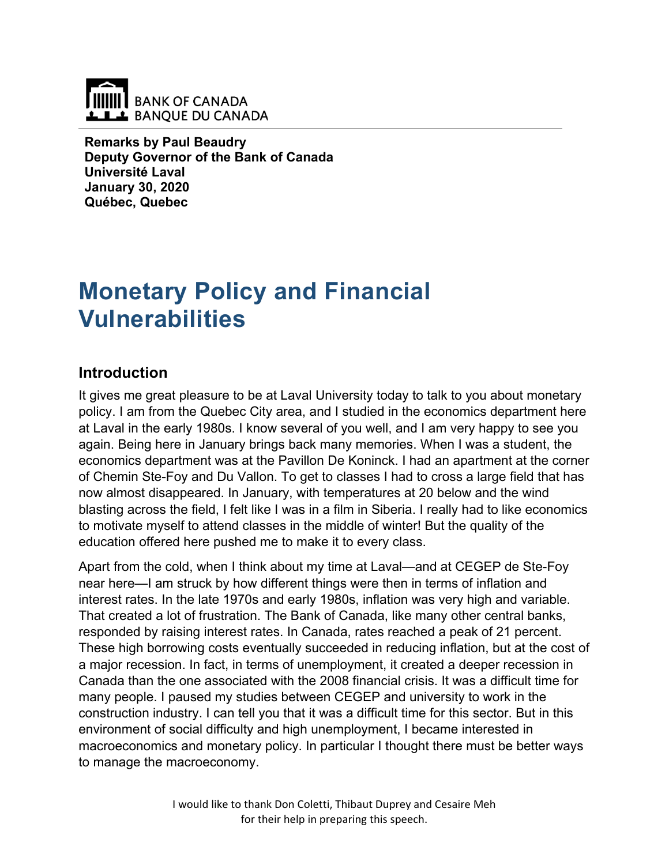

**Remarks by Paul Beaudry Deputy Governor of the Bank of Canada Université Laval January 30, 2020 Québec, Quebec**

# **Monetary Policy and Financial Vulnerabilities**

### **Introduction**

It gives me great pleasure to be at Laval University today to talk to you about monetary policy. I am from the Quebec City area, and I studied in the economics department here at Laval in the early 1980s. I know several of you well, and I am very happy to see you again. Being here in January brings back many memories. When I was a student, the economics department was at the Pavillon De Koninck. I had an apartment at the corner of Chemin Ste-Foy and Du Vallon. To get to classes I had to cross a large field that has now almost disappeared. In January, with temperatures at 20 below and the wind blasting across the field, I felt like I was in a film in Siberia. I really had to like economics to motivate myself to attend classes in the middle of winter! But the quality of the education offered here pushed me to make it to every class.

Apart from the cold, when I think about my time at Laval—and at CEGEP de Ste-Foy near here—I am struck by how different things were then in terms of inflation and interest rates. In the late 1970s and early 1980s, inflation was very high and variable. That created a lot of frustration. The Bank of Canada, like many other central banks, responded by raising interest rates. In Canada, rates reached a peak of 21 percent. These high borrowing costs eventually succeeded in reducing inflation, but at the cost of a major recession. In fact, in terms of unemployment, it created a deeper recession in Canada than the one associated with the 2008 financial crisis. It was a difficult time for many people. I paused my studies between CEGEP and university to work in the construction industry. I can tell you that it was a difficult time for this sector. But in this environment of social difficulty and high unemployment, I became interested in macroeconomics and monetary policy. In particular I thought there must be better ways to manage the macroeconomy.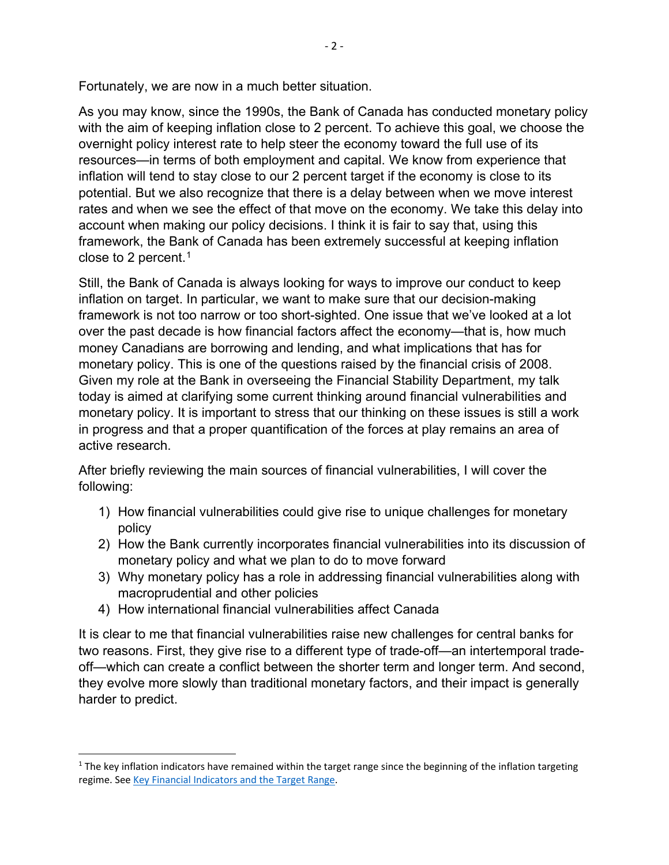Fortunately, we are now in a much better situation.

As you may know, since the 1990s, the Bank of Canada has conducted monetary policy with the aim of keeping inflation close to 2 percent. To achieve this goal, we choose the overnight policy interest rate to help steer the economy toward the full use of its resources—in terms of both employment and capital. We know from experience that inflation will tend to stay close to our 2 percent target if the economy is close to its potential. But we also recognize that there is a delay between when we move interest rates and when we see the effect of that move on the economy. We take this delay into account when making our policy decisions. I think it is fair to say that, using this framework, the Bank of Canada has been extremely successful at keeping inflation close to 2 percent. [1](#page-1-0)

Still, the Bank of Canada is always looking for ways to improve our conduct to keep inflation on target. In particular, we want to make sure that our decision-making framework is not too narrow or too short-sighted. One issue that we've looked at a lot over the past decade is how financial factors affect the economy—that is, how much money Canadians are borrowing and lending, and what implications that has for monetary policy. This is one of the questions raised by the financial crisis of 2008. Given my role at the Bank in overseeing the Financial Stability Department, my talk today is aimed at clarifying some current thinking around financial vulnerabilities and monetary policy. It is important to stress that our thinking on these issues is still a work in progress and that a proper quantification of the forces at play remains an area of active research.

After briefly reviewing the main sources of financial vulnerabilities, I will cover the following:

- 1) How financial vulnerabilities could give rise to unique challenges for monetary policy
- 2) How the Bank currently incorporates financial vulnerabilities into its discussion of monetary policy and what we plan to do to move forward
- 3) Why monetary policy has a role in addressing financial vulnerabilities along with macroprudential and other policies
- 4) How international financial vulnerabilities affect Canada

It is clear to me that financial vulnerabilities raise new challenges for central banks for two reasons. First, they give rise to a different type of trade-off—an intertemporal tradeoff—which can create a conflict between the shorter term and longer term. And second, they evolve more slowly than traditional monetary factors, and their impact is generally harder to predict.

<span id="page-1-0"></span> $1$  The key inflation indicators have remained within the target range since the beginning of the inflation targeting regime. See [Key Financial Indicators and the Target Range.](https://www.bankofcanada.ca/rates/indicators/key-variables/key-inflation-indicators-and-the-target-range/)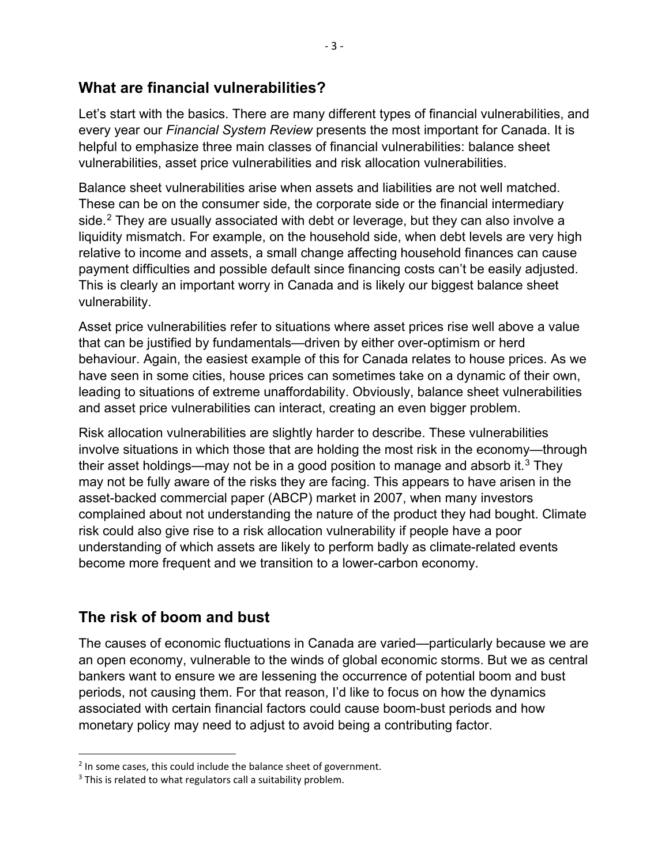## **What are financial vulnerabilities?**

Let's start with the basics. There are many different types of financial vulnerabilities, and every year our *Financial System Review* presents the most important for Canada. It is helpful to emphasize three main classes of financial vulnerabilities: balance sheet vulnerabilities, asset price vulnerabilities and risk allocation vulnerabilities.

Balance sheet vulnerabilities arise when assets and liabilities are not well matched. These can be on the consumer side, the corporate side or the financial intermediary side. [2](#page-2-0) They are usually associated with debt or leverage, but they can also involve a liquidity mismatch. For example, on the household side, when debt levels are very high relative to income and assets, a small change affecting household finances can cause payment difficulties and possible default since financing costs can't be easily adjusted. This is clearly an important worry in Canada and is likely our biggest balance sheet vulnerability.

Asset price vulnerabilities refer to situations where asset prices rise well above a value that can be justified by fundamentals—driven by either over-optimism or herd behaviour. Again, the easiest example of this for Canada relates to house prices. As we have seen in some cities, house prices can sometimes take on a dynamic of their own, leading to situations of extreme unaffordability. Obviously, balance sheet vulnerabilities and asset price vulnerabilities can interact, creating an even bigger problem.

Risk allocation vulnerabilities are slightly harder to describe. These vulnerabilities involve situations in which those that are holding the most risk in the economy—through their asset holdings—may not be in a good position to manage and absorb it. $^3$  $^3$  They may not be fully aware of the risks they are facing. This appears to have arisen in the asset-backed commercial paper (ABCP) market in 2007, when many investors complained about not understanding the nature of the product they had bought. Climate risk could also give rise to a risk allocation vulnerability if people have a poor understanding of which assets are likely to perform badly as climate-related events become more frequent and we transition to a lower-carbon economy.

# **The risk of boom and bust**

The causes of economic fluctuations in Canada are varied—particularly because we are an open economy, vulnerable to the winds of global economic storms. But we as central bankers want to ensure we are lessening the occurrence of potential boom and bust periods, not causing them. For that reason, I'd like to focus on how the dynamics associated with certain financial factors could cause boom-bust periods and how monetary policy may need to adjust to avoid being a contributing factor.

<span id="page-2-0"></span> $2$  In some cases, this could include the balance sheet of government.

<span id="page-2-1"></span><sup>&</sup>lt;sup>3</sup> This is related to what regulators call a suitability problem.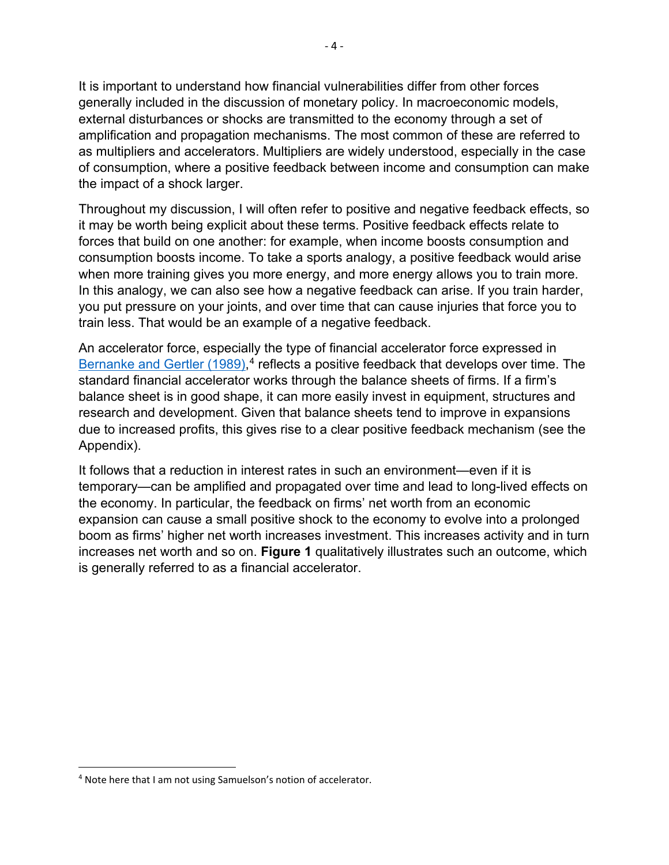It is important to understand how financial vulnerabilities differ from other forces generally included in the discussion of monetary policy. In macroeconomic models, external disturbances or shocks are transmitted to the economy through a set of amplification and propagation mechanisms. The most common of these are referred to as multipliers and accelerators. Multipliers are widely understood, especially in the case of consumption, where a positive feedback between income and consumption can make the impact of a shock larger.

Throughout my discussion, I will often refer to positive and negative feedback effects, so it may be worth being explicit about these terms. Positive feedback effects relate to forces that build on one another: for example, when income boosts consumption and consumption boosts income. To take a sports analogy, a positive feedback would arise when more training gives you more energy, and more energy allows you to train more. In this analogy, we can also see how a negative feedback can arise. If you train harder, you put pressure on your joints, and over time that can cause injuries that force you to train less. That would be an example of a negative feedback.

An accelerator force, especially the type of financial accelerator force expressed in [Bernanke and Gertler](https://www.jstor.org/stable/1804770?seq=1#metadata_info_tab_contents) (1989),<sup>[4](#page-3-0)</sup> reflects a positive feedback that develops over time. The standard financial accelerator works through the balance sheets of firms. If a firm's balance sheet is in good shape, it can more easily invest in equipment, structures and research and development. Given that balance sheets tend to improve in expansions due to increased profits, this gives rise to a clear positive feedback mechanism (see the Appendix).

It follows that a reduction in interest rates in such an environment—even if it is temporary—can be amplified and propagated over time and lead to long-lived effects on the economy. In particular, the feedback on firms' net worth from an economic expansion can cause a small positive shock to the economy to evolve into a prolonged boom as firms' higher net worth increases investment. This increases activity and in turn increases net worth and so on. **Figure 1** qualitatively illustrates such an outcome, which is generally referred to as a financial accelerator.

<span id="page-3-0"></span> <sup>4</sup> Note here that I am not using Samuelson's notion of accelerator.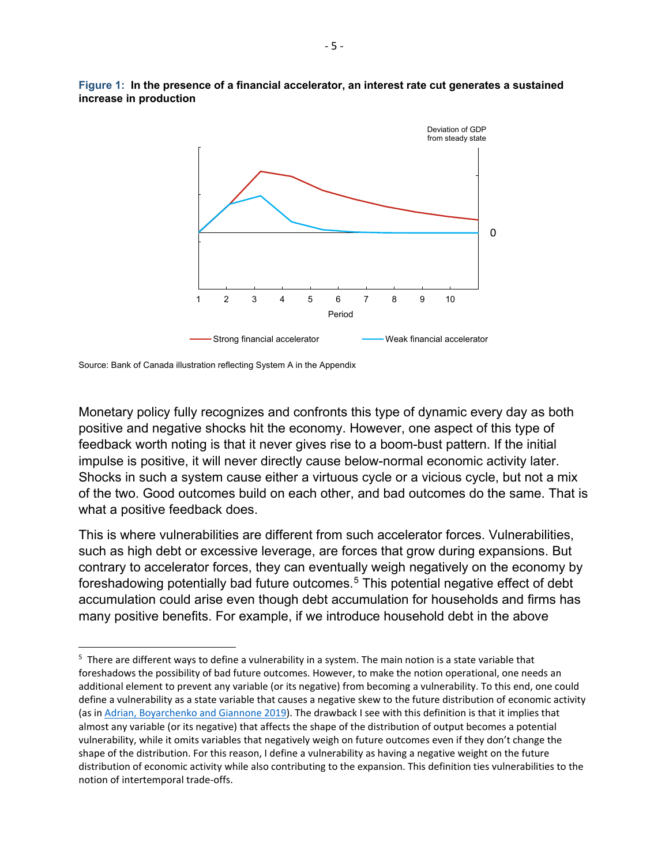

**Figure 1: In the presence of a financial accelerator, an interest rate cut generates a sustained increase in production** 

Source: Bank of Canada illustration reflecting System A in the Appendix

Monetary policy fully recognizes and confronts this type of dynamic every day as both positive and negative shocks hit the economy. However, one aspect of this type of feedback worth noting is that it never gives rise to a boom-bust pattern. If the initial impulse is positive, it will never directly cause below-normal economic activity later. Shocks in such a system cause either a virtuous cycle or a vicious cycle, but not a mix of the two. Good outcomes build on each other, and bad outcomes do the same. That is what a positive feedback does.

This is where vulnerabilities are different from such accelerator forces. Vulnerabilities, such as high debt or excessive leverage, are forces that grow during expansions. But contrary to accelerator forces, they can eventually weigh negatively on the economy by foreshadowing potentially bad future outcomes.[5](#page-4-0) This potential negative effect of debt accumulation could arise even though debt accumulation for households and firms has many positive benefits. For example, if we introduce household debt in the above

<span id="page-4-0"></span><sup>-&</sup>lt;br>5 <sup>5</sup> There are different ways to define a vulnerability in a system. The main notion is a state variable that foreshadows the possibility of bad future outcomes. However, to make the notion operational, one needs an additional element to prevent any variable (or its negative) from becoming a vulnerability. To this end, one could define a vulnerability as a state variable that causes a negative skew to the future distribution of economic activity (as in [Adrian, Boyarchenko and Giannone](https://www.aeaweb.org/articles?id=10.1257/aer.20161923) 2019). The drawback I see with this definition is that it implies that almost any variable (or its negative) that affects the shape of the distribution of output becomes a potential vulnerability, while it omits variables that negatively weigh on future outcomes even if they don't change the shape of the distribution. For this reason, I define a vulnerability as having a negative weight on the future distribution of economic activity while also contributing to the expansion. This definition ties vulnerabilities to the notion of intertemporal trade-offs.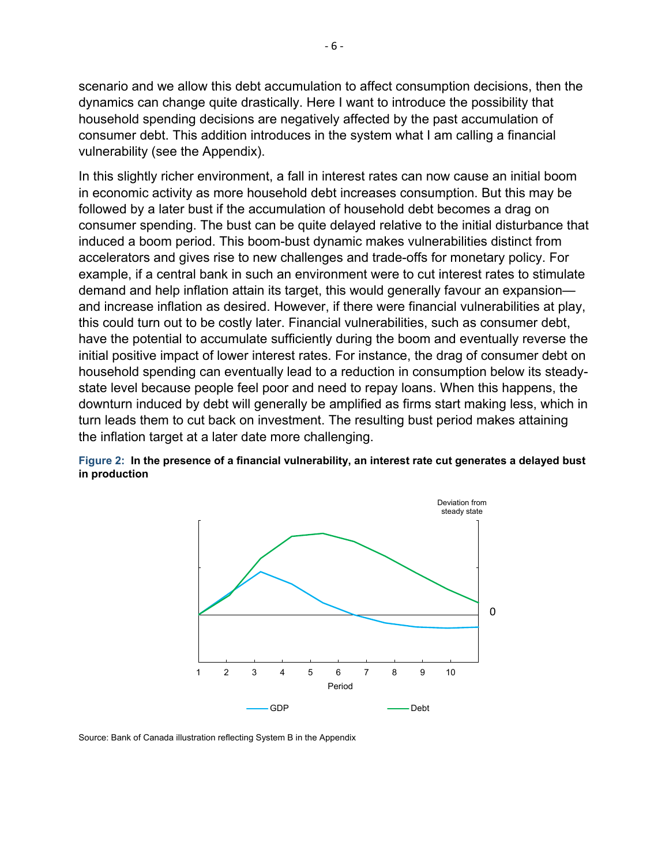scenario and we allow this debt accumulation to affect consumption decisions, then the dynamics can change quite drastically. Here I want to introduce the possibility that household spending decisions are negatively affected by the past accumulation of consumer debt. This addition introduces in the system what I am calling a financial vulnerability (see the Appendix).

In this slightly richer environment, a fall in interest rates can now cause an initial boom in economic activity as more household debt increases consumption. But this may be followed by a later bust if the accumulation of household debt becomes a drag on consumer spending. The bust can be quite delayed relative to the initial disturbance that induced a boom period. This boom-bust dynamic makes vulnerabilities distinct from accelerators and gives rise to new challenges and trade-offs for monetary policy. For example, if a central bank in such an environment were to cut interest rates to stimulate demand and help inflation attain its target, this would generally favour an expansion and increase inflation as desired. However, if there were financial vulnerabilities at play, this could turn out to be costly later. Financial vulnerabilities, such as consumer debt, have the potential to accumulate sufficiently during the boom and eventually reverse the initial positive impact of lower interest rates. For instance, the drag of consumer debt on household spending can eventually lead to a reduction in consumption below its steadystate level because people feel poor and need to repay loans. When this happens, the downturn induced by debt will generally be amplified as firms start making less, which in turn leads them to cut back on investment. The resulting bust period makes attaining the inflation target at a later date more challenging.





Source: Bank of Canada illustration reflecting System B in the Appendix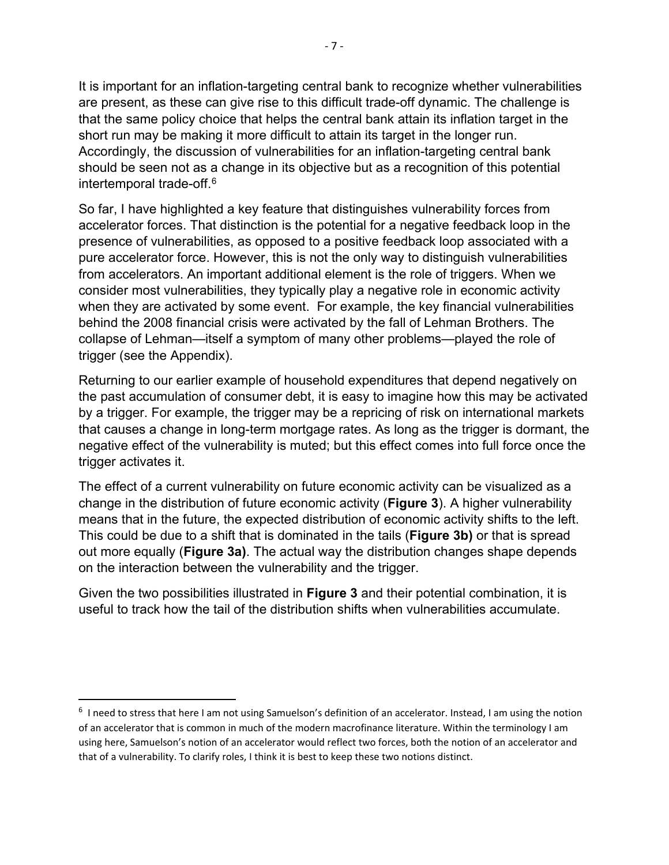It is important for an inflation-targeting central bank to recognize whether vulnerabilities are present, as these can give rise to this difficult trade-off dynamic. The challenge is that the same policy choice that helps the central bank attain its inflation target in the short run may be making it more difficult to attain its target in the longer run. Accordingly, the discussion of vulnerabilities for an inflation-targeting central bank should be seen not as a change in its objective but as a recognition of this potential intertemporal trade-off.[6](#page-6-0)

So far, I have highlighted a key feature that distinguishes vulnerability forces from accelerator forces. That distinction is the potential for a negative feedback loop in the presence of vulnerabilities, as opposed to a positive feedback loop associated with a pure accelerator force. However, this is not the only way to distinguish vulnerabilities from accelerators. An important additional element is the role of triggers. When we consider most vulnerabilities, they typically play a negative role in economic activity when they are activated by some event. For example, the key financial vulnerabilities behind the 2008 financial crisis were activated by the fall of Lehman Brothers. The collapse of Lehman—itself a symptom of many other problems—played the role of trigger (see the Appendix).

Returning to our earlier example of household expenditures that depend negatively on the past accumulation of consumer debt, it is easy to imagine how this may be activated by a trigger. For example, the trigger may be a repricing of risk on international markets that causes a change in long-term mortgage rates. As long as the trigger is dormant, the negative effect of the vulnerability is muted; but this effect comes into full force once the trigger activates it.

The effect of a current vulnerability on future economic activity can be visualized as a change in the distribution of future economic activity (**Figure 3**). A higher vulnerability means that in the future, the expected distribution of economic activity shifts to the left. This could be due to a shift that is dominated in the tails (**Figure 3b)** or that is spread out more equally (**Figure 3a)**. The actual way the distribution changes shape depends on the interaction between the vulnerability and the trigger.

Given the two possibilities illustrated in **Figure 3** and their potential combination, it is useful to track how the tail of the distribution shifts when vulnerabilities accumulate.

<span id="page-6-0"></span> <sup>6</sup> I need to stress that here I am not using Samuelson's definition of an accelerator. Instead, I am using the notion of an accelerator that is common in much of the modern macrofinance literature. Within the terminology I am using here, Samuelson's notion of an accelerator would reflect two forces, both the notion of an accelerator and that of a vulnerability. To clarify roles, I think it is best to keep these two notions distinct.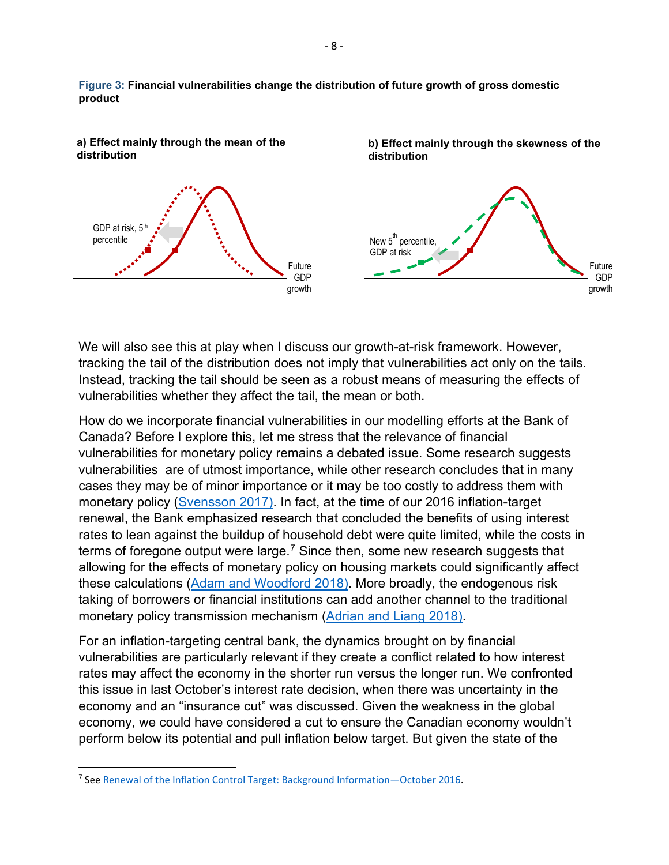**Figure 3: Financial vulnerabilities change the distribution of future growth of gross domestic product**



We will also see this at play when I discuss our growth-at-risk framework. However, tracking the tail of the distribution does not imply that vulnerabilities act only on the tails. Instead, tracking the tail should be seen as a robust means of measuring the effects of vulnerabilities whether they affect the tail, the mean or both.

How do we incorporate financial vulnerabilities in our modelling efforts at the Bank of Canada? Before I explore this, let me stress that the relevance of financial vulnerabilities for monetary policy remains a debated issue. Some research suggests vulnerabilities are of utmost importance, while other research concludes that in many cases they may be of minor importance or it may be too costly to address them with monetary policy [\(Svensson 2017\).](https://www.sciencedirect.com/science/article/pii/S030439321730082X) In fact, at the time of our 2016 inflation-target renewal, the Bank emphasized research that concluded the benefits of using interest rates to lean against the buildup of household debt were quite limited, while the costs in terms of foregone output were large.<sup>[7](#page-7-0)</sup> Since then, some new research suggests that allowing for the effects of monetary policy on housing markets could significantly affect these calculations [\(Adam and Woodford 2018\).](https://www.nber.org/papers/w24629) More broadly, the endogenous risk taking of borrowers or financial institutions can add another channel to the traditional monetary policy transmission mechanism [\(Adrian and Liang 2018\).](https://www.ijcb.org/journal/ijcb18q0a3.htm)

For an inflation-targeting central bank, the dynamics brought on by financial vulnerabilities are particularly relevant if they create a conflict related to how interest rates may affect the economy in the shorter run versus the longer run. We confronted this issue in last October's interest rate decision, when there was uncertainty in the economy and an "insurance cut" was discussed. Given the weakness in the global economy, we could have considered a cut to ensure the Canadian economy wouldn't perform below its potential and pull inflation below target. But given the state of the

<span id="page-7-0"></span> <sup>7</sup> Se[e Renewal of the Inflation Control Target: Background Information—](https://www.bankofcanada.ca/wp-content/uploads/2016/10/background_nov11.pdf)October 2016.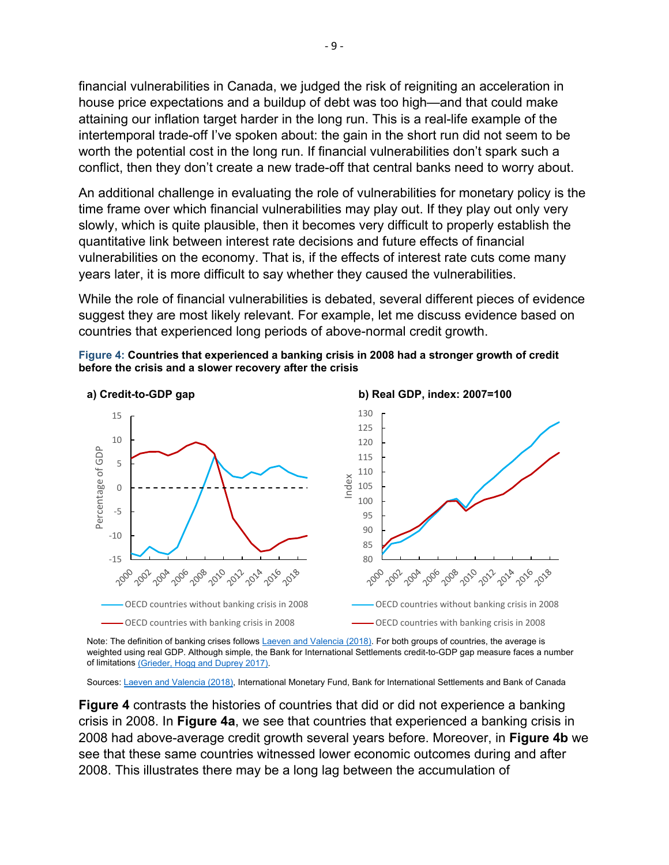financial vulnerabilities in Canada, we judged the risk of reigniting an acceleration in house price expectations and a buildup of debt was too high—and that could make attaining our inflation target harder in the long run. This is a real-life example of the intertemporal trade-off I've spoken about: the gain in the short run did not seem to be worth the potential cost in the long run. If financial vulnerabilities don't spark such a conflict, then they don't create a new trade-off that central banks need to worry about.

An additional challenge in evaluating the role of vulnerabilities for monetary policy is the time frame over which financial vulnerabilities may play out. If they play out only very slowly, which is quite plausible, then it becomes very difficult to properly establish the quantitative link between interest rate decisions and future effects of financial vulnerabilities on the economy. That is, if the effects of interest rate cuts come many years later, it is more difficult to say whether they caused the vulnerabilities.

While the role of financial vulnerabilities is debated, several different pieces of evidence suggest they are most likely relevant. For example, let me discuss evidence based on countries that experienced long periods of above-normal credit growth.





Note: The definition of banking crises follows [Laeven and Valencia \(2018\).](https://www.imf.org/en/Publications/WP/Issues/2018/09/14/Systemic-Banking-Crises-Revisited-46232) For both groups of countries, the average is weighted using real GDP. Although simple, the Bank for International Settlements credit-to-GDP gap measure faces a number of limitation[s \(Grieder, Hogg and Duprey 2017\).](https://www.bankofcanada.ca/2017/12/staff-analytical-note-2017-25/)

Sources[: Laeven and Valencia \(2018\),](https://www.imf.org/en/Publications/WP/Issues/2018/09/14/Systemic-Banking-Crises-Revisited-46232) International Monetary Fund, Bank for International Settlements and Bank of Canada

**Figure 4** contrasts the histories of countries that did or did not experience a banking crisis in 2008. In **Figure 4a**, we see that countries that experienced a banking crisis in 2008 had above-average credit growth several years before. Moreover, in **Figure 4b** we see that these same countries witnessed lower economic outcomes during and after 2008. This illustrates there may be a long lag between the accumulation of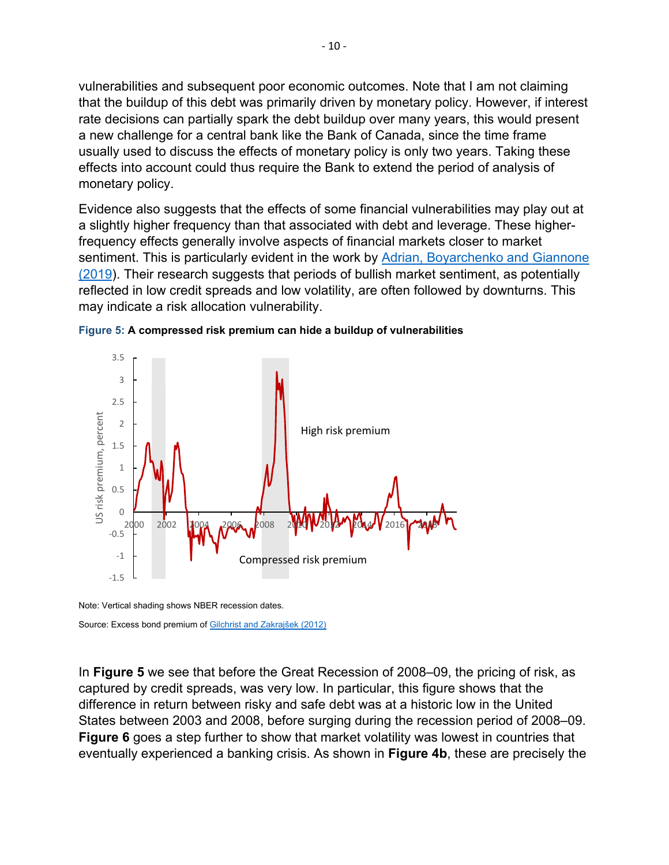vulnerabilities and subsequent poor economic outcomes. Note that I am not claiming that the buildup of this debt was primarily driven by monetary policy. However, if interest rate decisions can partially spark the debt buildup over many years, this would present a new challenge for a central bank like the Bank of Canada, since the time frame usually used to discuss the effects of monetary policy is only two years. Taking these effects into account could thus require the Bank to extend the period of analysis of monetary policy.

Evidence also suggests that the effects of some financial vulnerabilities may play out at a slightly higher frequency than that associated with debt and leverage. These higherfrequency effects generally involve aspects of financial markets closer to market sentiment. This is particularly evident in the work by Adrian, Boyarchenko and Giannone [\(2019\)](https://www.aeaweb.org/articles?id=10.1257/aer.20161923). Their research suggests that periods of bullish market sentiment, as potentially reflected in low credit spreads and low volatility, are often followed by downturns. This may indicate a risk allocation vulnerability.





In **Figure 5** we see that before the Great Recession of 2008–09, the pricing of risk, as captured by credit spreads, was very low. In particular, this figure shows that the difference in return between risky and safe debt was at a historic low in the United States between 2003 and 2008, before surging during the recession period of 2008–09. **Figure 6** goes a step further to show that market volatility was lowest in countries that eventually experienced a banking crisis. As shown in **Figure 4b**, these are precisely the

Note: Vertical shading shows NBER recession dates. Source: Excess bond premium of [Gilchrist and Zakrajšek \(2012\)](https://www.aeaweb.org/articles?id=10.1257/aer.102.4.1692)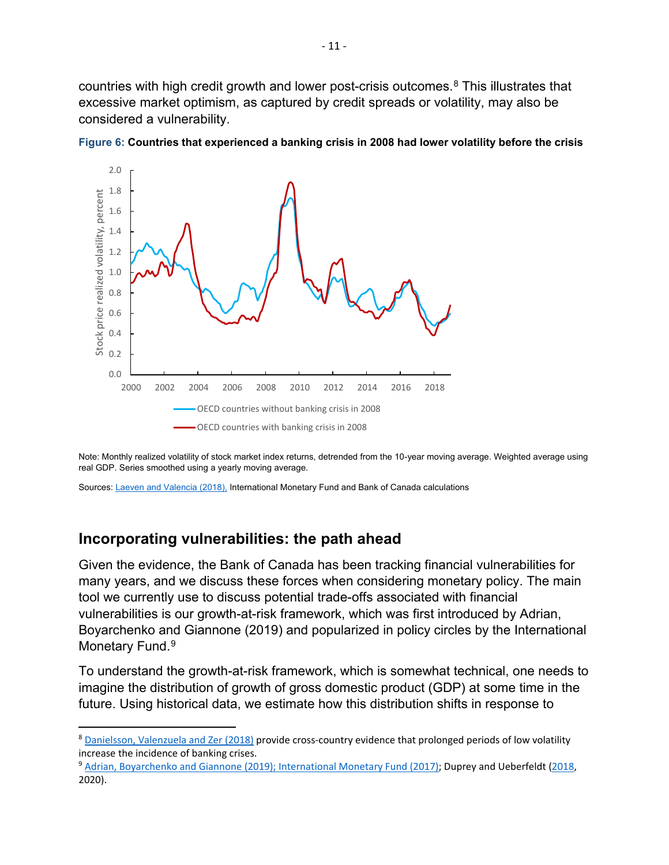countries with high credit growth and lower post-crisis outcomes. [8](#page-10-0) This illustrates that excessive market optimism, as captured by credit spreads or volatility, may also be considered a vulnerability.



**Figure 6: Countries that experienced a banking crisis in 2008 had lower volatility before the crisis**

Note: Monthly realized volatility of stock market index returns, detrended from the 10-year moving average. Weighted average using real GDP. Series smoothed using a yearly moving average.

Sources: [Laeven and Valencia \(2018\),](https://www.imf.org/en/Publications/WP/Issues/2018/09/14/Systemic-Banking-Crises-Revisited-46232) International Monetary Fund and Bank of Canada calculations

### **Incorporating vulnerabilities: the path ahead**

Given the evidence, the Bank of Canada has been tracking financial vulnerabilities for many years, and we discuss these forces when considering monetary policy. The main tool we currently use to discuss potential trade-offs associated with financial vulnerabilities is our growth-at-risk framework, which was first introduced by Adrian, Boyarchenko and Giannone (2019) and popularized in policy circles by the International Monetary Fund. [9](#page-10-1)

To understand the growth-at-risk framework, which is somewhat technical, one needs to imagine the distribution of growth of gross domestic product (GDP) at some time in the future. Using historical data, we estimate how this distribution shifts in response to

<span id="page-10-0"></span> <sup>8</sup> [Danielsson, Valenzuela and Zer \(2018\)](https://academic.oup.com/rfs/article/31/7/2774/4982249) provide cross-country evidence that prolonged periods of low volatility increase the incidence of banking crises.

<span id="page-10-1"></span><sup>&</sup>lt;sup>9</sup> [Adrian, Boyarchenko and Giannone \(2019\);](https://www.aeaweb.org/articles?id=10.1257/aer.20161923) [International Monetary Fund](https://www.imf.org/en/Publications/GFSR/Issues/2017/09/27/global-financial-stability-report-october-2017) (2017); Duprey and Ueberfeldt [\(2018,](https://www.bankofcanada.ca/2018/04/staff-analytical-note-2018-11/) 2020).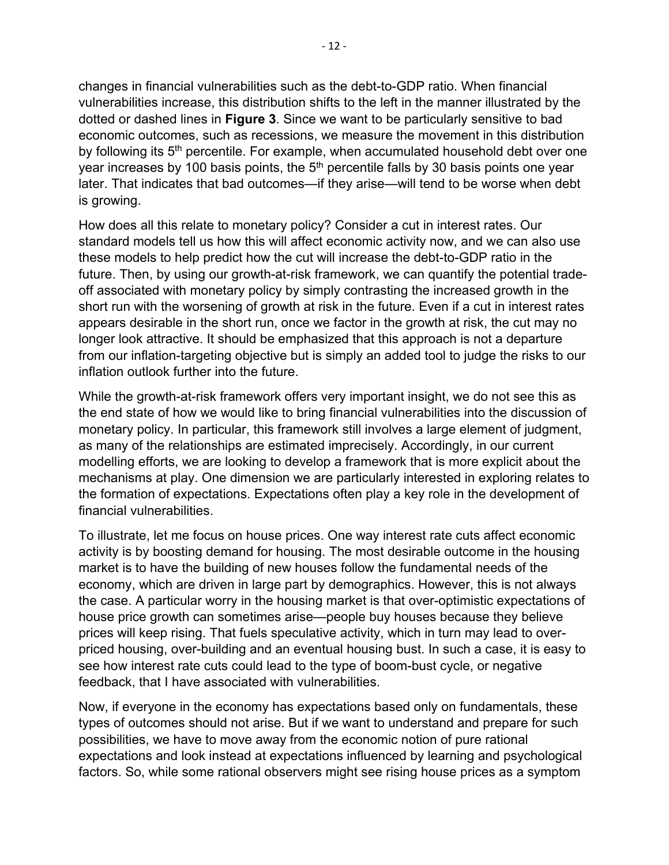changes in financial vulnerabilities such as the debt-to-GDP ratio. When financial vulnerabilities increase, this distribution shifts to the left in the manner illustrated by the dotted or dashed lines in **Figure 3**. Since we want to be particularly sensitive to bad economic outcomes, such as recessions, we measure the movement in this distribution by following its 5<sup>th</sup> percentile. For example, when accumulated household debt over one year increases by 100 basis points, the 5<sup>th</sup> percentile falls by 30 basis points one year later. That indicates that bad outcomes—if they arise—will tend to be worse when debt is growing.

How does all this relate to monetary policy? Consider a cut in interest rates. Our standard models tell us how this will affect economic activity now, and we can also use these models to help predict how the cut will increase the debt-to-GDP ratio in the future. Then, by using our growth-at-risk framework, we can quantify the potential tradeoff associated with monetary policy by simply contrasting the increased growth in the short run with the worsening of growth at risk in the future. Even if a cut in interest rates appears desirable in the short run, once we factor in the growth at risk, the cut may no longer look attractive. It should be emphasized that this approach is not a departure from our inflation-targeting objective but is simply an added tool to judge the risks to our inflation outlook further into the future.

While the growth-at-risk framework offers very important insight, we do not see this as the end state of how we would like to bring financial vulnerabilities into the discussion of monetary policy. In particular, this framework still involves a large element of judgment, as many of the relationships are estimated imprecisely. Accordingly, in our current modelling efforts, we are looking to develop a framework that is more explicit about the mechanisms at play. One dimension we are particularly interested in exploring relates to the formation of expectations. Expectations often play a key role in the development of financial vulnerabilities.

To illustrate, let me focus on house prices. One way interest rate cuts affect economic activity is by boosting demand for housing. The most desirable outcome in the housing market is to have the building of new houses follow the fundamental needs of the economy, which are driven in large part by demographics. However, this is not always the case. A particular worry in the housing market is that over-optimistic expectations of house price growth can sometimes arise—people buy houses because they believe prices will keep rising. That fuels speculative activity, which in turn may lead to overpriced housing, over-building and an eventual housing bust. In such a case, it is easy to see how interest rate cuts could lead to the type of boom-bust cycle, or negative feedback, that I have associated with vulnerabilities.

Now, if everyone in the economy has expectations based only on fundamentals, these types of outcomes should not arise. But if we want to understand and prepare for such possibilities, we have to move away from the economic notion of pure rational expectations and look instead at expectations influenced by learning and psychological factors. So, while some rational observers might see rising house prices as a symptom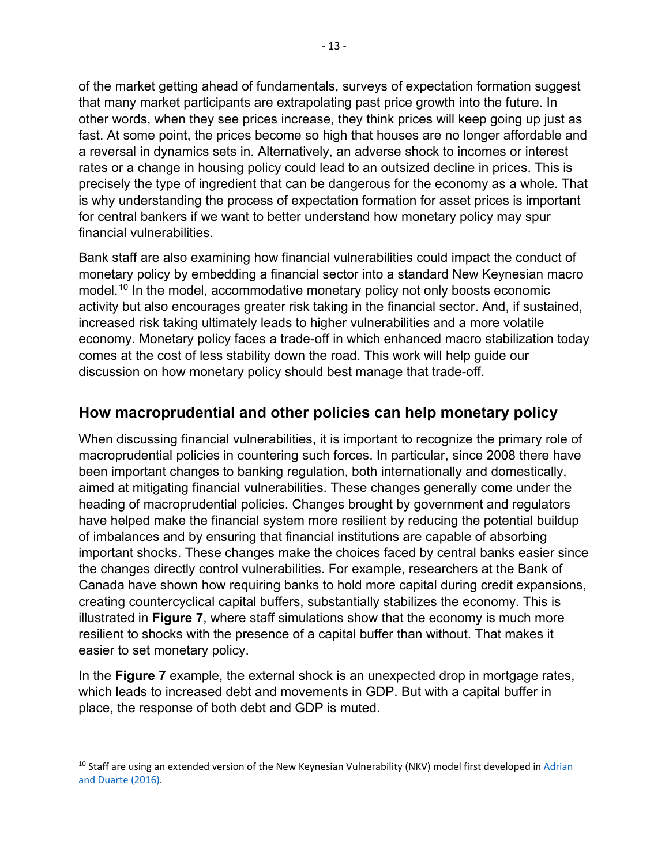of the market getting ahead of fundamentals, surveys of expectation formation suggest that many market participants are extrapolating past price growth into the future. In other words, when they see prices increase, they think prices will keep going up just as fast. At some point, the prices become so high that houses are no longer affordable and a reversal in dynamics sets in. Alternatively, an adverse shock to incomes or interest rates or a change in housing policy could lead to an outsized decline in prices. This is precisely the type of ingredient that can be dangerous for the economy as a whole. That is why understanding the process of expectation formation for asset prices is important for central bankers if we want to better understand how monetary policy may spur financial vulnerabilities.

Bank staff are also examining how financial vulnerabilities could impact the conduct of monetary policy by embedding a financial sector into a standard New Keynesian macro model.<sup>[10](#page-12-0)</sup> In the model, accommodative monetary policy not only boosts economic activity but also encourages greater risk taking in the financial sector. And, if sustained, increased risk taking ultimately leads to higher vulnerabilities and a more volatile economy. Monetary policy faces a trade-off in which enhanced macro stabilization today comes at the cost of less stability down the road. This work will help guide our discussion on how monetary policy should best manage that trade-off.

# **How macroprudential and other policies can help monetary policy**

When discussing financial vulnerabilities, it is important to recognize the primary role of macroprudential policies in countering such forces. In particular, since 2008 there have been important changes to banking regulation, both internationally and domestically, aimed at mitigating financial vulnerabilities. These changes generally come under the heading of macroprudential policies. Changes brought by government and regulators have helped make the financial system more resilient by reducing the potential buildup of imbalances and by ensuring that financial institutions are capable of absorbing important shocks. These changes make the choices faced by central banks easier since the changes directly control vulnerabilities. For example, researchers at the Bank of Canada have shown how requiring banks to hold more capital during credit expansions, creating countercyclical capital buffers, substantially stabilizes the economy. This is illustrated in **Figure 7**, where staff simulations show that the economy is much more resilient to shocks with the presence of a capital buffer than without. That makes it easier to set monetary policy.

In the **Figure 7** example, the external shock is an unexpected drop in mortgage rates, which leads to increased debt and movements in GDP. But with a capital buffer in place, the response of both debt and GDP is muted.

<span id="page-12-0"></span><sup>&</sup>lt;sup>10</sup> Staff are using an extended version of the New Keynesian Vulnerability (NKV) model first developed in Adrian [and Duarte \(2016\).](https://www.newyorkfed.org/research/staff_reports/sr804)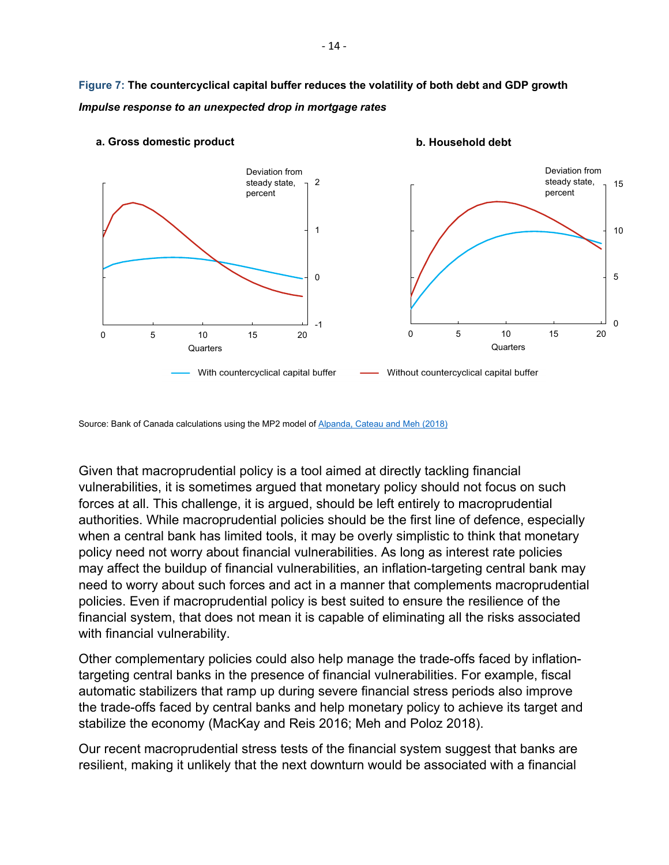**Figure 7: The countercyclical capital buffer reduces the volatility of both debt and GDP growth** *Impulse response to an unexpected drop in mortgage rates*



#### **a. Gross domestic product**

**b. Household debt**

Source: Bank of Canada calculations using the MP2 model o[f Alpanda, Cateau and Meh \(2018\)](https://onlinelibrary.wiley.com/doi/full/10.1111/caje.12339)

Given that macroprudential policy is a tool aimed at directly tackling financial vulnerabilities, it is sometimes argued that monetary policy should not focus on such forces at all. This challenge, it is argued, should be left entirely to macroprudential authorities. While macroprudential policies should be the first line of defence, especially when a central bank has limited tools, it may be overly simplistic to think that monetary policy need not worry about financial vulnerabilities. As long as interest rate policies may affect the buildup of financial vulnerabilities, an inflation-targeting central bank may need to worry about such forces and act in a manner that complements macroprudential policies. Even if macroprudential policy is best suited to ensure the resilience of the financial system, that does not mean it is capable of eliminating all the risks associated with financial vulnerability.

Other complementary policies could also help manage the trade-offs faced by inflationtargeting central banks in the presence of financial vulnerabilities. For example, fiscal automatic stabilizers that ramp up during severe financial stress periods also improve the trade-offs faced by central banks and help monetary policy to achieve its target and stabilize the economy (MacKay and Reis 2016; Meh and Poloz 2018).

Our recent macroprudential stress tests of the financial system suggest that banks are resilient, making it unlikely that the next downturn would be associated with a financial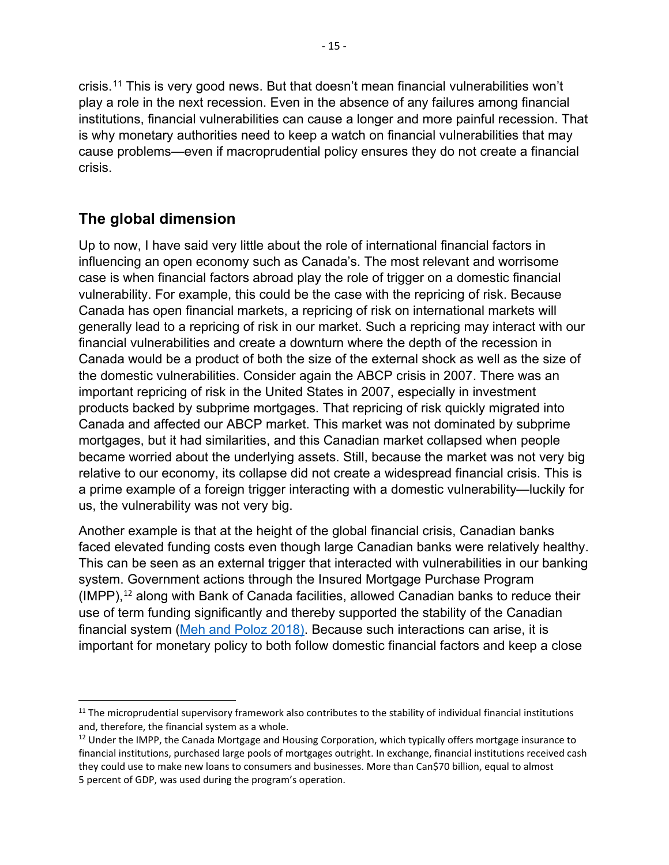crisis.<sup>[11](#page-14-0)</sup> This is very good news. But that doesn't mean financial vulnerabilities won't play a role in the next recession. Even in the absence of any failures among financial institutions, financial vulnerabilities can cause a longer and more painful recession. That is why monetary authorities need to keep a watch on financial vulnerabilities that may cause problems—even if macroprudential policy ensures they do not create a financial crisis.

# **The global dimension**

Up to now, I have said very little about the role of international financial factors in influencing an open economy such as Canada's. The most relevant and worrisome case is when financial factors abroad play the role of trigger on a domestic financial vulnerability. For example, this could be the case with the repricing of risk. Because Canada has open financial markets, a repricing of risk on international markets will generally lead to a repricing of risk in our market. Such a repricing may interact with our financial vulnerabilities and create a downturn where the depth of the recession in Canada would be a product of both the size of the external shock as well as the size of the domestic vulnerabilities. Consider again the ABCP crisis in 2007. There was an important repricing of risk in the United States in 2007, especially in investment products backed by subprime mortgages. That repricing of risk quickly migrated into Canada and affected our ABCP market. This market was not dominated by subprime mortgages, but it had similarities, and this Canadian market collapsed when people became worried about the underlying assets. Still, because the market was not very big relative to our economy, its collapse did not create a widespread financial crisis. This is a prime example of a foreign trigger interacting with a domestic vulnerability—luckily for us, the vulnerability was not very big.

Another example is that at the height of the global financial crisis, Canadian banks faced elevated funding costs even though large Canadian banks were relatively healthy. This can be seen as an external trigger that interacted with vulnerabilities in our banking system. Government actions through the Insured Mortgage Purchase Program  $(IMPP)$ ,<sup>[12](#page-14-1)</sup> along with Bank of Canada facilities, allowed Canadian banks to reduce their use of term funding significantly and thereby supported the stability of the Canadian financial system [\(Meh and Poloz 2018\).](https://www.bankofcanada.ca/2018/09/investing-monetary-policy-independence-small-open-economy/) Because such interactions can arise, it is important for monetary policy to both follow domestic financial factors and keep a close

<span id="page-14-0"></span><sup>&</sup>lt;sup>11</sup> The microprudential supervisory framework also contributes to the stability of individual financial institutions and, therefore, the financial system as a whole.

<span id="page-14-1"></span><sup>&</sup>lt;sup>12</sup> Under the IMPP, the Canada Mortgage and Housing Corporation, which typically offers mortgage insurance to financial institutions, purchased large pools of mortgages outright. In exchange, financial institutions received cash they could use to make new loans to consumers and businesses. More than Can\$70 billion, equal to almost 5 percent of GDP, was used during the program's operation.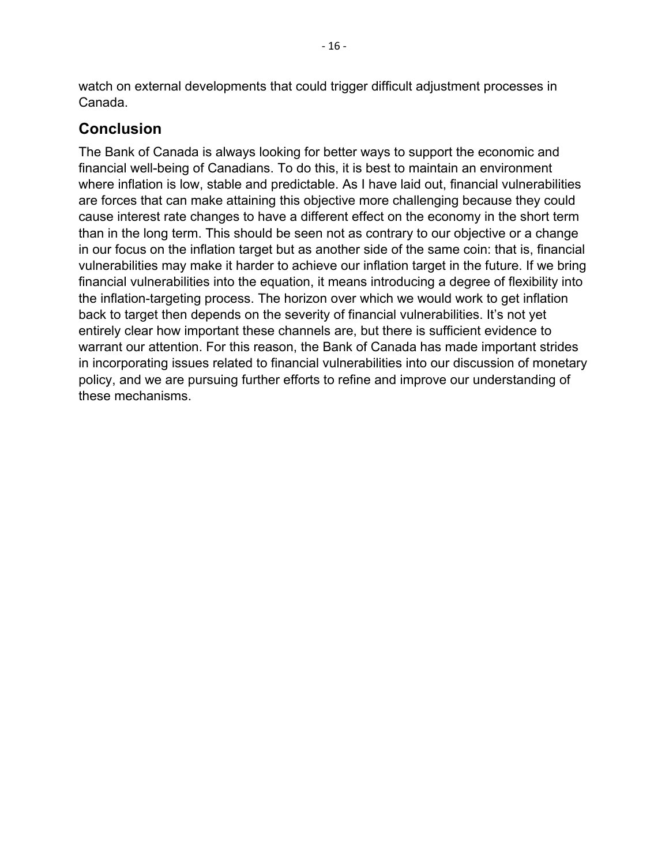watch on external developments that could trigger difficult adjustment processes in Canada.

# **Conclusion**

The Bank of Canada is always looking for better ways to support the economic and financial well-being of Canadians. To do this, it is best to maintain an environment where inflation is low, stable and predictable. As I have laid out, financial vulnerabilities are forces that can make attaining this objective more challenging because they could cause interest rate changes to have a different effect on the economy in the short term than in the long term. This should be seen not as contrary to our objective or a change in our focus on the inflation target but as another side of the same coin: that is, financial vulnerabilities may make it harder to achieve our inflation target in the future. If we bring financial vulnerabilities into the equation, it means introducing a degree of flexibility into the inflation-targeting process. The horizon over which we would work to get inflation back to target then depends on the severity of financial vulnerabilities. It's not yet entirely clear how important these channels are, but there is sufficient evidence to warrant our attention. For this reason, the Bank of Canada has made important strides in incorporating issues related to financial vulnerabilities into our discussion of monetary policy, and we are pursuing further efforts to refine and improve our understanding of these mechanisms.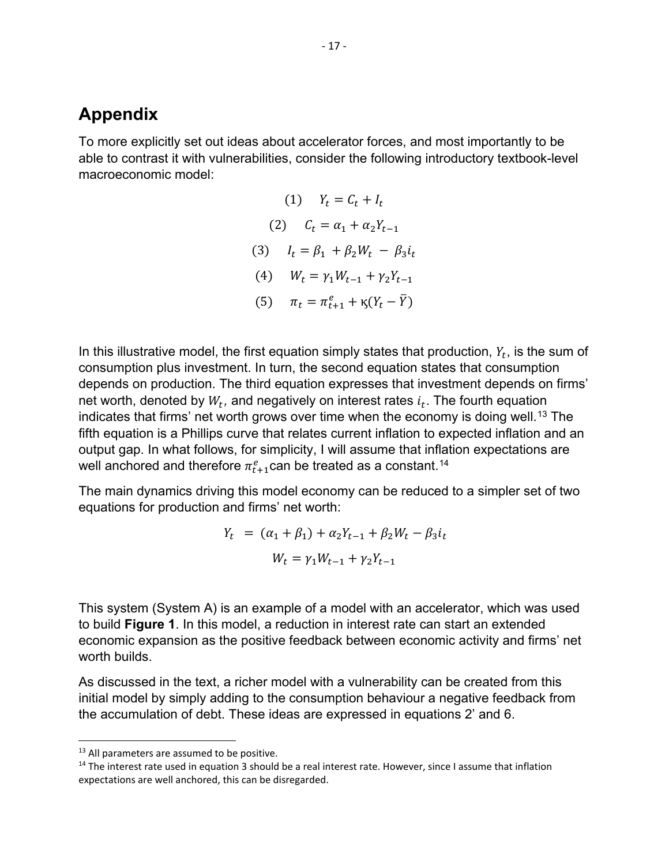# **Appendix**

To more explicitly set out ideas about accelerator forces, and most importantly to be able to contrast it with vulnerabilities, consider the following introductory textbook-level macroeconomic model:

> (1)  $Y_t = C_t + I_t$ (2)  $C_t = \alpha_1 + \alpha_2 Y_{t-1}$ (3)  $I_t = \beta_1 + \beta_2 W_t - \beta_3 i_t$ (4)  $W_t = \gamma_1 W_{t-1} + \gamma_2 Y_{t-1}$ (5)  $\pi_t = \pi_{t+1}^e + \kappa (Y_t - \bar{Y})$

In this illustrative model, the first equation simply states that production,  $Y_t$ , is the sum of consumption plus investment. In turn, the second equation states that consumption depends on production. The third equation expresses that investment depends on firms' net worth, denoted by  $W_t$ , and negatively on interest rates  $i_t$ . The fourth equation indicates that firms' net worth grows over time when the economy is doing well.<sup>[13](#page-16-0)</sup> The fifth equation is a Phillips curve that relates current inflation to expected inflation and an output gap. In what follows, for simplicity, I will assume that inflation expectations are well anchored and therefore  $\pi_{t+1}^e$  can be treated as a constant.<sup>[14](#page-16-1)</sup>

The main dynamics driving this model economy can be reduced to a simpler set of two equations for production and firms' net worth:

$$
Y_t = (\alpha_1 + \beta_1) + \alpha_2 Y_{t-1} + \beta_2 W_t - \beta_3 i_t
$$
  

$$
W_t = \gamma_1 W_{t-1} + \gamma_2 Y_{t-1}
$$

This system (System A) is an example of a model with an accelerator, which was used to build **Figure 1**. In this model, a reduction in interest rate can start an extended economic expansion as the positive feedback between economic activity and firms' net worth builds.

As discussed in the text, a richer model with a vulnerability can be created from this initial model by simply adding to the consumption behaviour a negative feedback from the accumulation of debt. These ideas are expressed in equations 2' and 6.

<span id="page-16-0"></span><sup>&</sup>lt;sup>13</sup> All parameters are assumed to be positive.

<span id="page-16-1"></span><sup>&</sup>lt;sup>14</sup> The interest rate used in equation 3 should be a real interest rate. However, since I assume that inflation expectations are well anchored, this can be disregarded.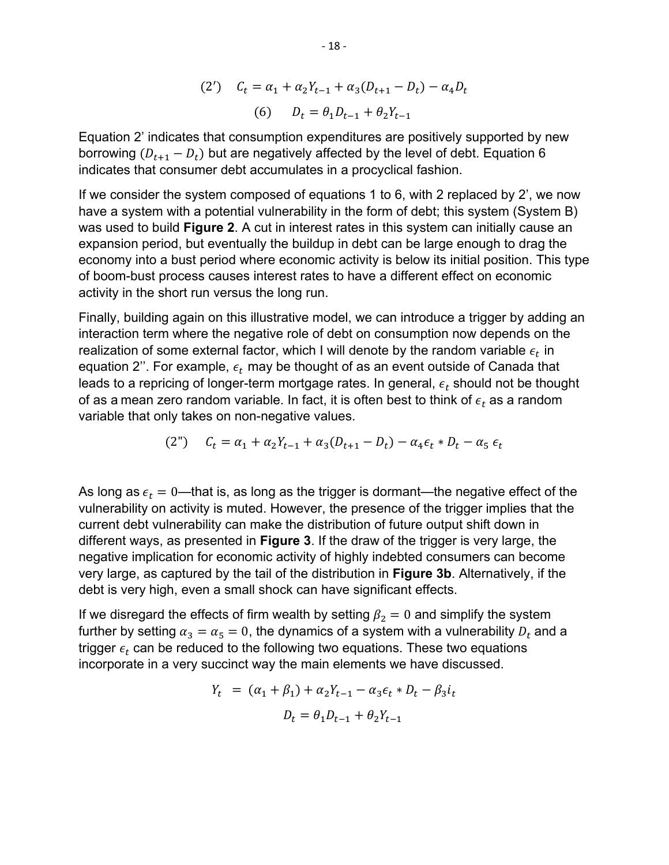(2') 
$$
C_t = \alpha_1 + \alpha_2 Y_{t-1} + \alpha_3 (D_{t+1} - D_t) - \alpha_4 D_t
$$
  
(6)  $D_t = \theta_1 D_{t-1} + \theta_2 Y_{t-1}$ 

Equation 2' indicates that consumption expenditures are positively supported by new borrowing  $(D_{t+1} - D_t)$  but are negatively affected by the level of debt. Equation 6 indicates that consumer debt accumulates in a procyclical fashion.

If we consider the system composed of equations 1 to 6, with 2 replaced by 2', we now have a system with a potential vulnerability in the form of debt; this system (System B) was used to build **Figure 2**. A cut in interest rates in this system can initially cause an expansion period, but eventually the buildup in debt can be large enough to drag the economy into a bust period where economic activity is below its initial position. This type of boom-bust process causes interest rates to have a different effect on economic activity in the short run versus the long run.

Finally, building again on this illustrative model, we can introduce a trigger by adding an interaction term where the negative role of debt on consumption now depends on the realization of some external factor, which I will denote by the random variable  $\epsilon_t$  in equation 2". For example,  $\epsilon_t$  may be thought of as an event outside of Canada that leads to a repricing of longer-term mortgage rates. In general,  $\epsilon_t$  should not be thought of as a mean zero random variable. In fact, it is often best to think of  $\epsilon_t$  as a random variable that only takes on non-negative values.

(2") 
$$
C_t = \alpha_1 + \alpha_2 Y_{t-1} + \alpha_3 (D_{t+1} - D_t) - \alpha_4 \epsilon_t * D_t - \alpha_5 \epsilon_t
$$

As long as  $\epsilon_t = 0$ —that is, as long as the trigger is dormant—the negative effect of the vulnerability on activity is muted. However, the presence of the trigger implies that the current debt vulnerability can make the distribution of future output shift down in different ways, as presented in **Figure 3**. If the draw of the trigger is very large, the negative implication for economic activity of highly indebted consumers can become very large, as captured by the tail of the distribution in **Figure 3b**. Alternatively, if the debt is very high, even a small shock can have significant effects.

If we disregard the effects of firm wealth by setting  $\beta_2 = 0$  and simplify the system further by setting  $\alpha_3 = \alpha_5 = 0$ , the dynamics of a system with a vulnerability  $D_t$  and a trigger  $\epsilon_t$  can be reduced to the following two equations. These two equations incorporate in a very succinct way the main elements we have discussed.

$$
Y_t = (\alpha_1 + \beta_1) + \alpha_2 Y_{t-1} - \alpha_3 \epsilon_t * D_t - \beta_3 i_t
$$
  

$$
D_t = \theta_1 D_{t-1} + \theta_2 Y_{t-1}
$$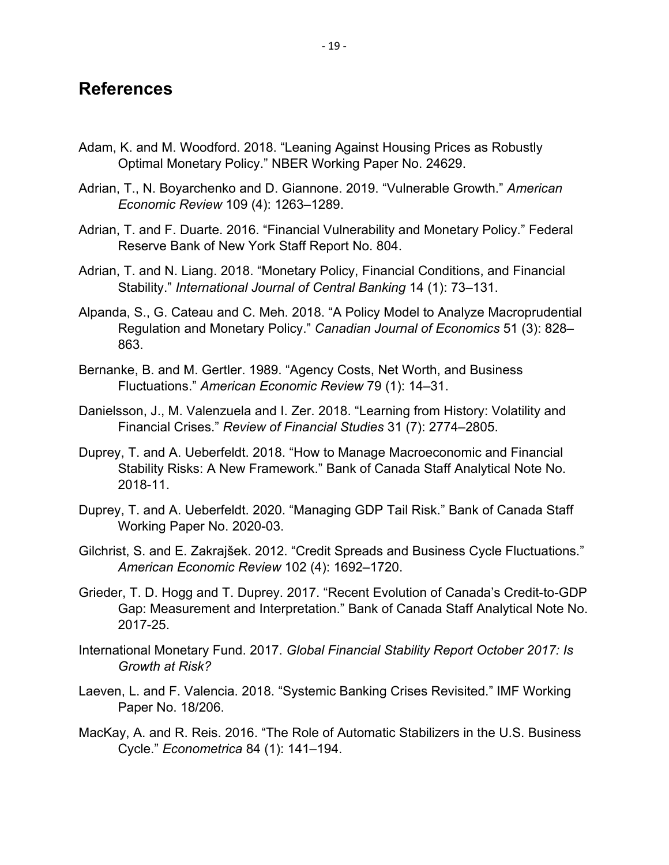## **References**

- Adam, K. and M. Woodford. 2018. "Leaning Against Housing Prices as Robustly Optimal Monetary Policy." NBER Working Paper No. 24629.
- Adrian, T., N. Boyarchenko and D. Giannone. 2019. "Vulnerable Growth." *American Economic Review* 109 (4): 1263–1289.
- Adrian, T. and F. Duarte. 2016. "Financial Vulnerability and Monetary Policy." Federal Reserve Bank of New York Staff Report No. 804.
- Adrian, T. and N. Liang. 2018. "Monetary Policy, Financial Conditions, and Financial Stability." *International Journal of Central Banking* 14 (1): 73–131.
- Alpanda, S., G. Cateau and C. Meh. 2018. "A Policy Model to Analyze Macroprudential Regulation and Monetary Policy." *Canadian Journal of Economics* 51 (3): 828– 863.
- Bernanke, B. and M. Gertler. 1989. "Agency Costs, Net Worth, and Business Fluctuations." *American Economic Review* 79 (1): 14–31.
- Danielsson, J., M. Valenzuela and I. Zer. 2018. "Learning from History: Volatility and Financial Crises." *Review of Financial Studies* 31 (7): 2774–2805.
- Duprey, T. and A. Ueberfeldt. 2018. "How to Manage Macroeconomic and Financial Stability Risks: A New Framework." Bank of Canada Staff Analytical Note No. 2018-11.
- Duprey, T. and A. Ueberfeldt. 2020. "Managing GDP Tail Risk." Bank of Canada Staff Working Paper No. 2020-03.
- Gilchrist, S. and E. Zakrajšek. 2012. "Credit Spreads and Business Cycle Fluctuations." *American Economic Review* 102 (4): 1692–1720.
- Grieder, T. D. Hogg and T. Duprey. 2017. "Recent Evolution of Canada's Credit-to-GDP Gap: Measurement and Interpretation." Bank of Canada Staff Analytical Note No. 2017-25.
- International Monetary Fund. 2017. *Global Financial Stability Report October 2017: Is Growth at Risk?*
- Laeven, L. and F. Valencia. 2018. "Systemic Banking Crises Revisited." IMF Working Paper No. 18/206.
- MacKay, A. and R. Reis. 2016. "The Role of Automatic Stabilizers in the U.S. Business Cycle." *Econometrica* 84 (1): 141–194.